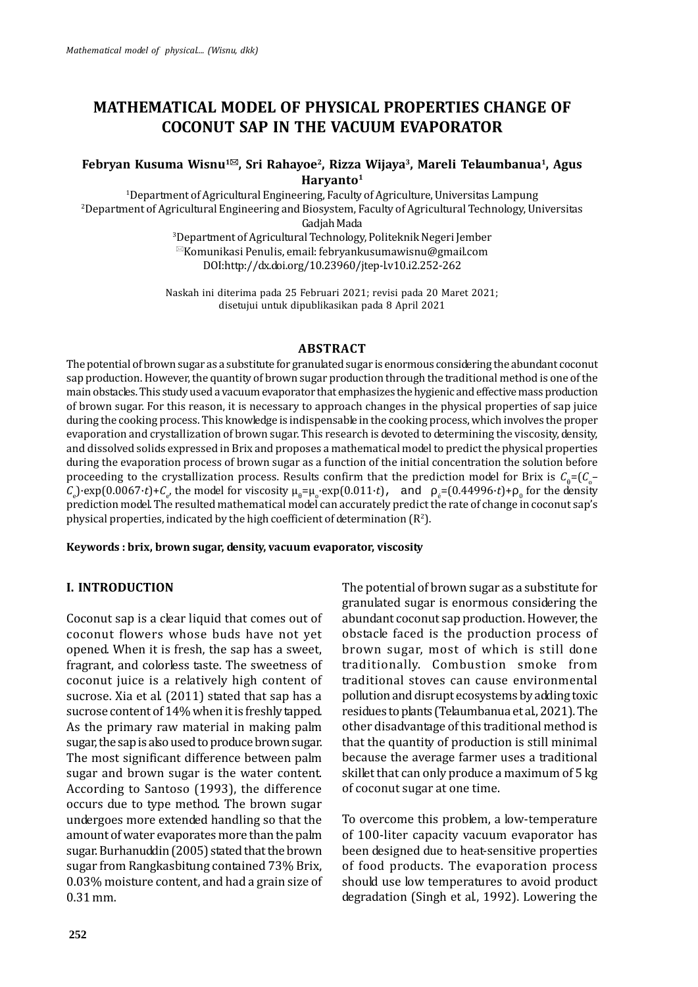# **MATHEMATICAL MODEL OF PHYSICAL PROPERTIES CHANGE OF COCONUT SAP IN THE VACUUM EVAPORATOR**

### **Febryan Kusuma Wisnu1, Sri Rahayoe<sup>2</sup> , Rizza Wijaya<sup>3</sup> , Mareli Telaumbanua<sup>1</sup> , Agus Haryanto<sup>1</sup>**

<sup>1</sup>Department of Agricultural Engineering, Faculty of Agriculture, Universitas Lampung <sup>2</sup>Department of Agricultural Engineering and Biosystem, Faculty of Agricultural Technology, Universitas

Gadjah Mada<br><sup>3</sup>Department of Agricultural Technology, Politeknik Negeri Jember  $\mathbb{Z}$ Komunikasi Penulis, email: febryankusumawisnu@gmail.com

DOI:http://dx.doi.org/10.23960/jtep-l.v10.i2.252-262

Naskah ini diterima pada 25 Februari 2021; revisi pada 20 Maret 2021; disetujui untuk dipublikasikan pada 8 April 2021

### **ABSTRACT**

The potential of brown sugar as a substitute for granulated sugar is enormous considering the abundant coconut sap production. However, the quantity of brown sugar production through the traditional method is one of the main obstacles. This study used a vacuum evaporator that emphasizes the hygienic and effective mass production of brown sugar. For this reason, it is necessary to approach changes in the physical properties of sap juice during the cooking process. This knowledge is indispensable in the cooking process, which involves the proper evaporation and crystallization of brown sugar. This research is devoted to determining the viscosity, density, and dissolved solids expressed in Brix and proposes a mathematical model to predict the physical properties during the evaporation process of brown sugar as a function of the initial concentration the solution before proceeding to the crystallization process. Results confirm that the prediction model for Brix is  $C = (C_{\circ} - C_{\circ})$ proceeding to the crystallization process. Results confirm that the prediction model for Brix is  $C = (C_o - C_e)$ -exp $(0.0067 \cdot t) + C_e$ , the model for viscosity  $\mu = \mu_e$ -exp $(0.011 \cdot t)$ , and  $e = (0.44996 \cdot t) + \frac{1}{9}$  for the dens prediction model. The resulted mathematical model can accurately predict the rate of change in coconut sap's physical properties, indicated by the high coefficient of determination  $(R^2)$ .

**Keywords : brix, brown sugar, density, vacuum evaporator, viscosity**

### **I. INTRODUCTION**

Coconut sap is a clear liquid that comes out of coconut flowers whose buds have not yet opened. When it is fresh, the sap has a sweet, fragrant, and colorless taste. The sweetness of coconut juice is a relatively high content of sucrose. Xia et al. (2011) stated that sap has a sucrose content of 14% when it is freshly tapped. As the primary raw material in making palm sugar, the sap is also used to produce brown sugar. The most significant difference between palm sugar and brown sugar is the water content. According to Santoso (1993), the difference occurs due to type method. The brown sugar undergoes more extended handling so that the amount of water evaporates more than the palm sugar. Burhanuddin (2005) stated that the brown sugar from Rangkasbitung contained 73% Brix, 0.03% moisture content, and had a grain size of 0.31 mm.

The potential of brown sugar as a substitute for granulated sugar is enormous considering the abundant coconut sap production. However, the obstacle faced is the production process of brown sugar, most of which is still done traditionally. Combustion smoke from traditional stoves can cause environmental pollution and disrupt ecosystems by adding toxic residues to plants (Telaumbanua et al., 2021). The other disadvantage of this traditional method is that the quantity of production is still minimal because the average farmer uses a traditional skillet that can only produce a maximum of 5 kg of coconut sugar at one time.

To overcome this problem, a low-temperature of 100-liter capacity vacuum evaporator has been designed due to heat-sensitive properties of food products. The evaporation process should use low temperatures to avoid product degradation (Singh et al., 1992). Lowering the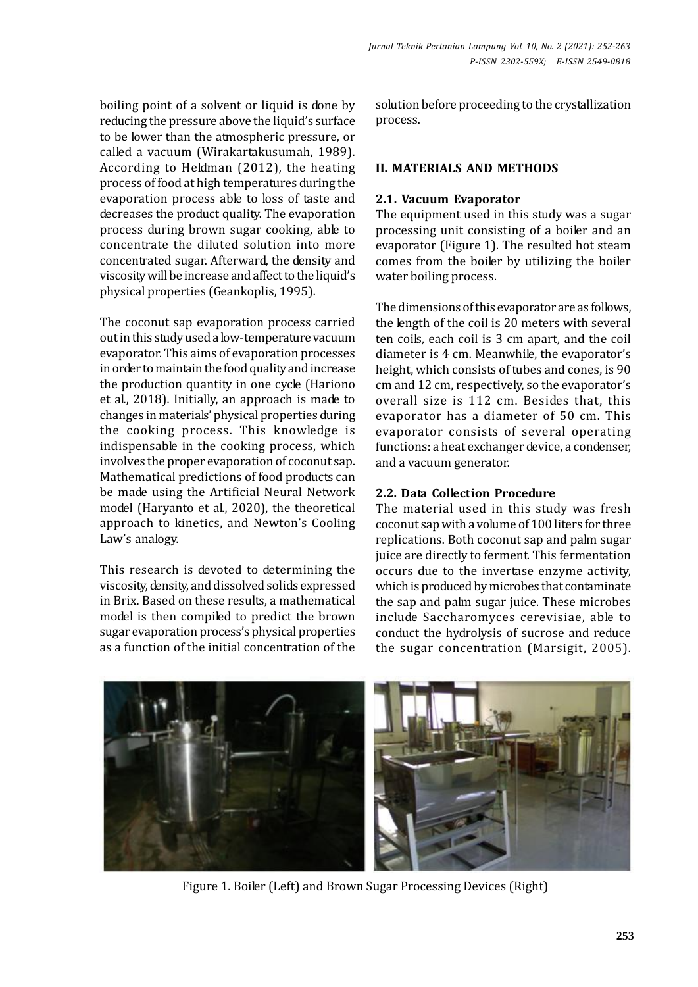boiling point of a solvent or liquid is done by reducing the pressure above the liquid's surface to be lower than the atmospheric pressure, or called a vacuum (Wirakartakusumah, 1989). According to Heldman (2012), the heating process of food at high temperatures during the evaporation process able to loss of taste and decreases the product quality. The evaporation process during brown sugar cooking, able to concentrate the diluted solution into more concentrated sugar. Afterward, the density and viscosity will be increase and affect to the liquid's physical properties (Geankoplis, 1995).

The coconut sap evaporation process carried out in this study used a low-temperature vacuum evaporator. This aims of evaporation processes in order to maintain the food quality and increase the production quantity in one cycle (Hariono et al., 2018). Initially, an approach is made to changes in materials' physical properties during the cooking process. This knowledge is indispensable in the cooking process, which involves the proper evaporation of coconut sap. Mathematical predictions of food products can be made using the Artificial Neural Network model (Haryanto et al., 2020), the theoretical approach to kinetics, and Newton's Cooling Law's analogy.

This research is devoted to determining the viscosity, density, and dissolved solids expressed in Brix. Based on these results, a mathematical model is then compiled to predict the brown sugar evaporation process's physical properties as a function of the initial concentration of the

solution before proceeding to the crystallization process.

### **II. MATERIALS AND METHODS**

### **2.1. Vacuum Evaporator**

The equipment used in this study was a sugar processing unit consisting of a boiler and an evaporator (Figure 1). The resulted hot steam comes from the boiler by utilizing the boiler water boiling process.

The dimensions of this evaporator are as follows, the length of the coil is 20 meters with several ten coils, each coil is 3 cm apart, and the coil diameter is 4 cm. Meanwhile, the evaporator's height, which consists of tubes and cones, is 90 cm and 12 cm, respectively, so the evaporator's overall size is 112 cm. Besides that, this evaporator has a diameter of 50 cm. This evaporator consists of several operating functions: a heat exchanger device, a condenser, and a vacuum generator.

### **2.2. Data Collection Procedure**

The material used in this study was fresh coconut sap with a volume of 100 liters for three replications. Both coconut sap and palm sugar juice are directly to ferment. This fermentation occurs due to the invertase enzyme activity, which is produced by microbes that contaminate the sap and palm sugar juice. These microbes include Saccharomyces cerevisiae, able to conduct the hydrolysis of sucrose and reduce the sugar concentration (Marsigit, 2005).



Figure 1. Boiler (Left) and Brown Sugar Processing Devices (Right)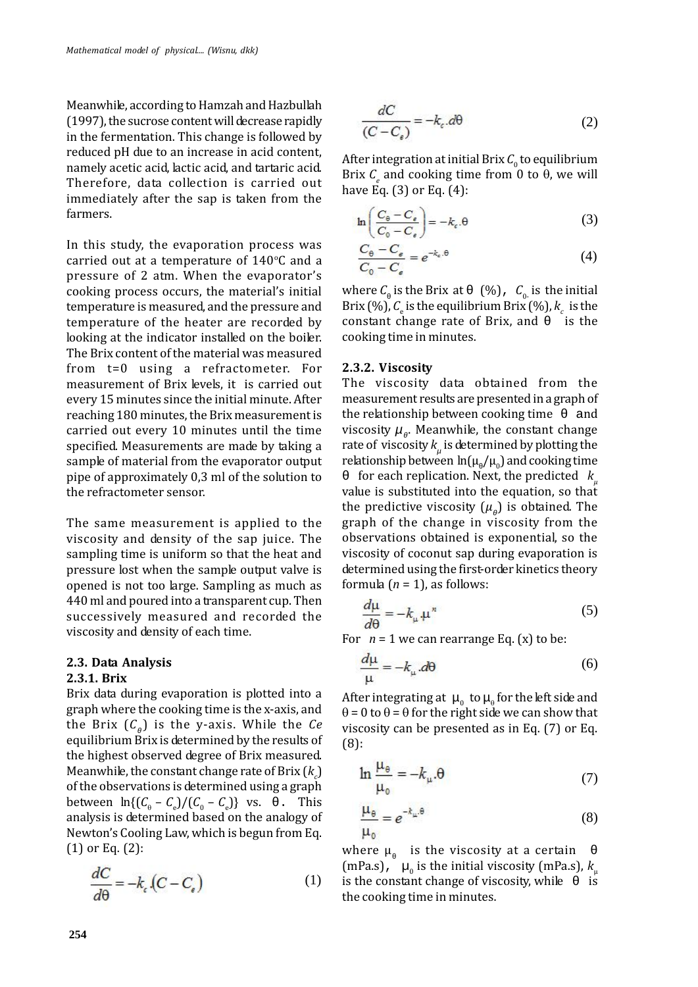Meanwhile, according to Hamzah and Hazbullah (1997), the sucrose content will decrease rapidly in the fermentation. This change is followed by reduced pH due to an increase in acid content, namely acetic acid, lactic acid, and tartaric acid. Therefore, data collection is carried out immediately after the sap is taken from the farmers.

In this study, the evaporation process was carried out at a temperature of  $140^{\circ}$ C and a pressure of 2 atm. When the evaporator's cooking process occurs, the material's initial temperature is measured, and the pressure and temperature of the heater are recorded by looking at the indicator installed on the boiler. The Brix content of the material was measured from t=0 using a refractometer. For measurement of Brix levels, it is carried out every 15 minutes since the initial minute. After reaching 180 minutes, the Brix measurement is carried out every 10 minutes until the time specified. Measurements are made by taking a sample of material from the evaporator output pipe of approximately 0,3 ml of the solution to the refractometer sensor.

The same measurement is applied to the viscosity and density of the sap juice. The sampling time is uniform so that the heat and pressure lost when the sample output valve is opened is not too large. Sampling as much as 440 ml and poured into a transparent cup. Then successively measured and recorded the viscosity and density of each time.

### **2.3. Data Analysis**

#### **2.3.1. Brix**

Brix data during evaporation is plotted into a graph where the cooking time is the x-axis, and the Brix (*C* ) is the y-axis. While the *Ce* equilibrium Brix is determined by the results of the highest observed degree of Brix measured. Meanwhile, the constant change rate of Brix  $(k<sub>n</sub>)$ of the observations is determined using a graph<br>between  $\ln\{(C_0 - C_1)/(C_0 - C_1)\}\$  vs. This between  $\ln\{(C_{\theta} - C_{\theta})/(C_{\theta} - C_{\theta})\}$  vs. This analysis is determined based on the analogy of Newton's Cooling Law, which is begun from Eq. (1) or Eq. (2):

$$
\frac{dC}{d\theta} = -k_c (C - C_e)
$$
 (1) is the

$$
\frac{dC}{(C - C_{\epsilon})} = -k_{\epsilon}.d\theta\tag{2}
$$

After integration at initial Brix  $C_0$  to equilibrium Brix  $C_e$  and cooking time from 0 to  $\theta$ , we will have Eq. (3) or Eq. (4):

$$
\ln\left(\frac{C_{\theta} - C_{\epsilon}}{C_0 - C_{\epsilon}}\right) = -k_c \cdot \theta
$$
 (3)

$$
\frac{C_{\theta} - C_{\epsilon}}{C_0 - C_{\epsilon}} = e^{-k_{\epsilon}.\theta} \tag{4}
$$

where *C* is the Brix at  $(\%)$ ,  $C_{0}$  is the initial Brix (%),  $C_e$  is the equilibrium Brix (%),  $k_c$  is the constant change rate of Brix, and is the cooking time in minutes.

#### **2.3.2. Viscosity**

The viscosity data obtained from the measurement results are presented in a graph of the relationship between cooking time viscosity  $\mu$ . Meanwhile, the constant change rate of viscosity  $k_{_\mu}$  is determined by plotting the relationship between  $ln(\mu / \mu_0)$  and cooking time

for each replication. Next, the predicted  $k<sub>n</sub>$ value is substituted into the equation, so that the predictive viscosity  $(\mu)$  is obtained. The graph of the change in viscosity from the observations obtained is exponential, so the viscosity of coconut sap during evaporation is determined using the first-order kinetics theory formula  $(n = 1)$ , as follows:

$$
\frac{d\mu}{d\theta} = -k_{\mu} \mu^{n} \tag{5}
$$

For  $n = 1$  we can rearrange Eq. (x) to be:

$$
\frac{d\mu}{\mu} = -k_{\mu} d\theta \tag{6}
$$

After integrating at  $\mu_0$  to  $\mu_0$  for the left side and  $\theta$  = 0 to  $\theta$  =  $\theta$  for the right side we can show that viscosity can be presented as in Eq. (7) or Eq. (8):

$$
\ln \frac{\mu_{\theta}}{\mu_{0}} = -k_{\mu}.\theta \tag{7}
$$

$$
\frac{\mu_{\theta}}{\mu_0} = e^{-k_{\mu}.\theta} \tag{8}
$$

where  $\mu$  is the viscosity at a certain (mPa.s),  $\mu_0$  is the initial viscosity (mPa.s),  $k_\mu$ is the constant change of viscosity, while the cooking time in minutes.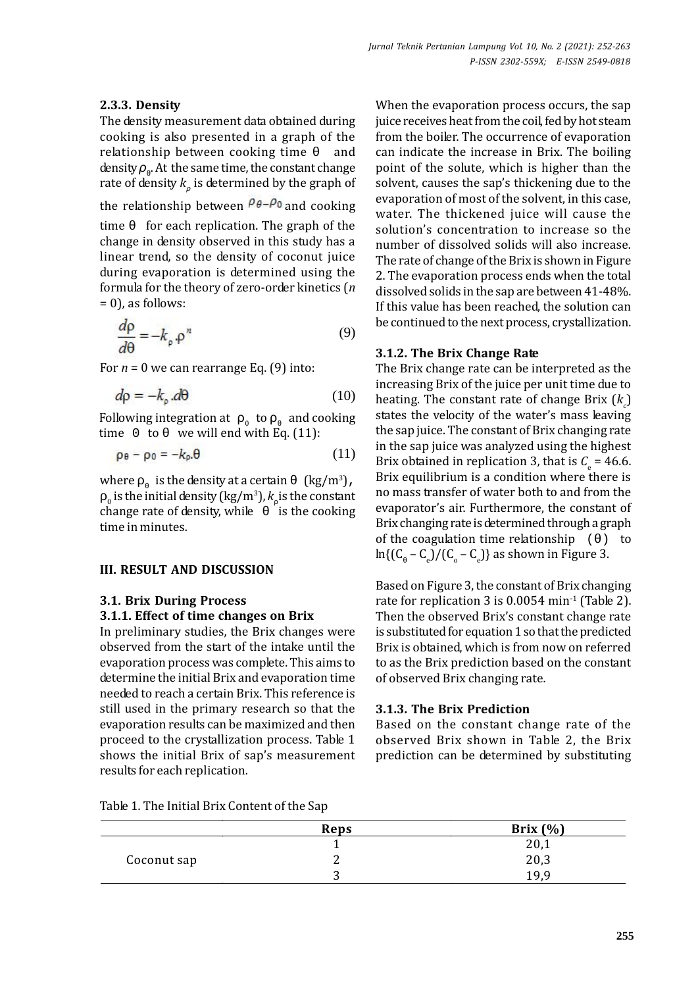### **2.3.3. Density**

The density measurement data obtained during cooking is also presented in a graph of the relationship between cooking time and density . At the same time, the constant change rate of density *k* is determined by the graph of

the relationship between  $\rho_{\theta} - \rho_0$  and cooking

time for each replication. The graph of the change in density observed in this study has a linear trend, so the density of coconut juice during evaporation is determined using the formula for the theory of zero-order kinetics (*n*  $= 0$ ), as follows:

$$
\frac{d\rho}{d\theta} = -k_{\rho} \cdot \rho^n \tag{9}
$$

For  $n = 0$  we can rearrange Eq. (9) into:

$$
d\rho = -k_{\text{o}}.d\theta \tag{10}
$$

Following integration at  $\int_0^{\pi}$  to and cooking<br>time 0 to we will end with Eq. (11): we will end with Eq.  $(11)$ :

$$
\rho_{\theta} - \rho_0 = -k_{\rho} \theta \tag{11}
$$

where is the density at a certain  $\left(\frac{kg}{m^3}\right)$ ,

change rate of density, while is the cooking evap  $_0$  is the initial density (kg/m<sup>3</sup>), *k* is the constant hange rate of density, while is the cooking time in minutes.

### **III. RESULT AND DISCUSSION**

### **3.1. Brix During Process**

#### **3.1.1. Effect of time changes on Brix**

In preliminary studies, the Brix changes were observed from the start of the intake until the evaporation process was complete. This aims to determine the initial Brix and evaporation time needed to reach a certain Brix. This reference is still used in the primary research so that the evaporation results can be maximized and then proceed to the crystallization process. Table 1 shows the initial Brix of sap's measurement results for each replication.

When the evaporation process occurs, the sap juice receives heat from the coil, fed by hot steam from the boiler. The occurrence of evaporation can indicate the increase in Brix. The boiling point of the solute, which is higher than the solvent, causes the sap's thickening due to the evaporation of most of the solvent, in this case, water. The thickened juice will cause the solution's concentration to increase so the number of dissolved solids will also increase. The rate of change of the Brix is shown in Figure 2. The evaporation process ends when the total dissolved solids in the sap are between 41-48%. If this value has been reached, the solution can be continued to the next process, crystallization.

#### **3.1.2. The Brix Change Rate**

The Brix change rate can be interpreted as the increasing Brix of the juice per unit time due to heating. The constant rate of change Brix  $(k<sub>n</sub>)$ states the velocity of the water's mass leaving the sap juice. The constant of Brix changing rate in the sap juice was analyzed using the highest Brix obtained in replication 3, that is  $C_e = 46.6$ . Brix equilibrium is a condition where there is no mass transfer of water both to and from the evaporator's air. Furthermore, the constant of Brix changing rate is determined through a graph of the coagulation time relationship () to  $ln\{(C - C_e)/(C_o - C_e)\}$  as shown in Figure 3.

Based on Figure 3, the constant of Brix changing rate for replication 3 is  $0.0054$  min<sup>-1</sup> (Table 2). Then the observed Brix's constant change rate is substituted for equation 1 so that the predicted Brix is obtained, which is from now on referred to as the Brix prediction based on the constant of observed Brix changing rate.

#### **3.1.3. The Brix Prediction**

Based on the constant change rate of the observed Brix shown in Table 2, the Brix prediction can be determined by substituting

|  |  |  |  |  | Table 1. The Initial Brix Content of the Sap |  |  |
|--|--|--|--|--|----------------------------------------------|--|--|
|--|--|--|--|--|----------------------------------------------|--|--|

|             | Reps | Brix $(\% )$ |
|-------------|------|--------------|
|             |      | 20,1         |
| Coconut sap |      | 20,3         |
|             |      | 1 Q Q        |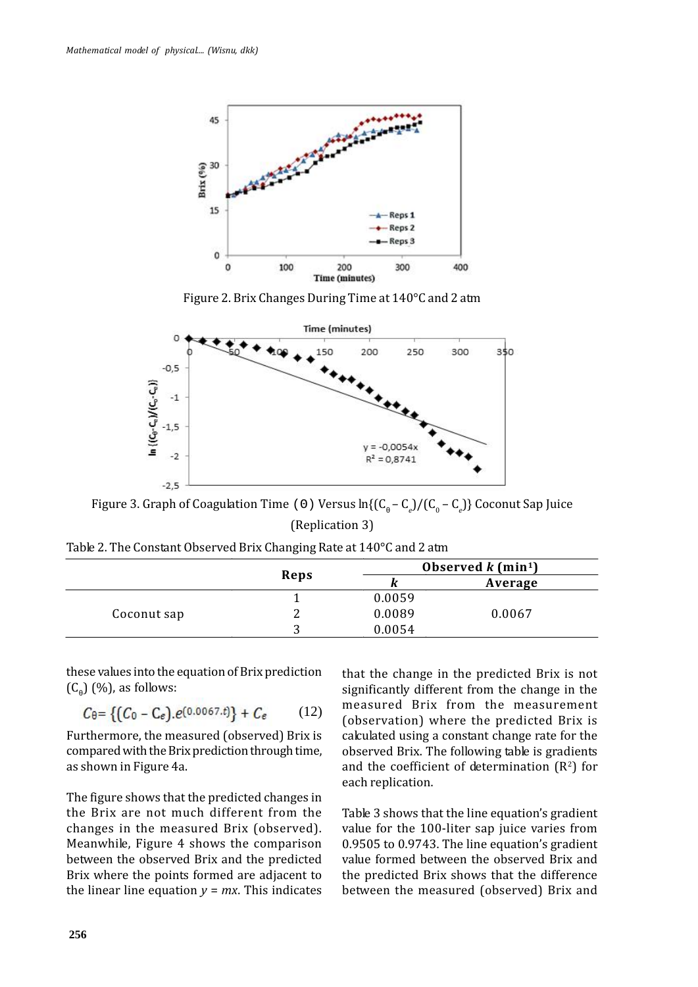

Figure 2. Brix Changes During Time at 140°C and 2 atm



Figure 3. Graph of Coagulation Time( )Versus ln{(C – C<sub>e</sub>)/(C<sub>o</sub> – C<sub>e</sub>)} Coconut Sap Juice (Replication 3)

| Table 2. The Constant Observed Brix Changing Rate at 140°C and 2 atm |  |
|----------------------------------------------------------------------|--|
|----------------------------------------------------------------------|--|

|             | Reps |        | Observed $k$ (min <sup>1</sup> ) |  |
|-------------|------|--------|----------------------------------|--|
|             |      |        | Average                          |  |
|             |      | 0.0059 |                                  |  |
| Coconut sap | ∽    | 0.0089 | 0.0067                           |  |
|             | n    | 0.0054 |                                  |  |

these values into the equation of Brix prediction  $(C)$   $(\%)$ , as follows:

$$
C_{\theta} = \{ (C_0 - C_e).e^{(0.0067. t)} \} + C_e \qquad (12) \qquad \text{m}^0
$$

Furthermore, the measured (observed) Brix is compared with the Brix prediction through time, as shown in Figure 4a.

The figure shows that the predicted changes in the Brix are not much different from the changes in the measured Brix (observed). Meanwhile, Figure 4 shows the comparison between the observed Brix and the predicted Brix where the points formed are adjacent to the linear line equation  $y = mx$ . This indicates that the change in the predicted Brix is not significantly different from the change in the measured Brix from the measurement (observation) where the predicted Brix is calculated using a constant change rate for the observed Brix. The following table is gradients and the coefficient of determination  $(R^2)$  for each replication.

Table 3 shows that the line equation's gradient value for the 100-liter sap juice varies from 0.9505 to 0.9743. The line equation's gradient value formed between the observed Brix and the predicted Brix shows that the difference between the measured (observed) Brix and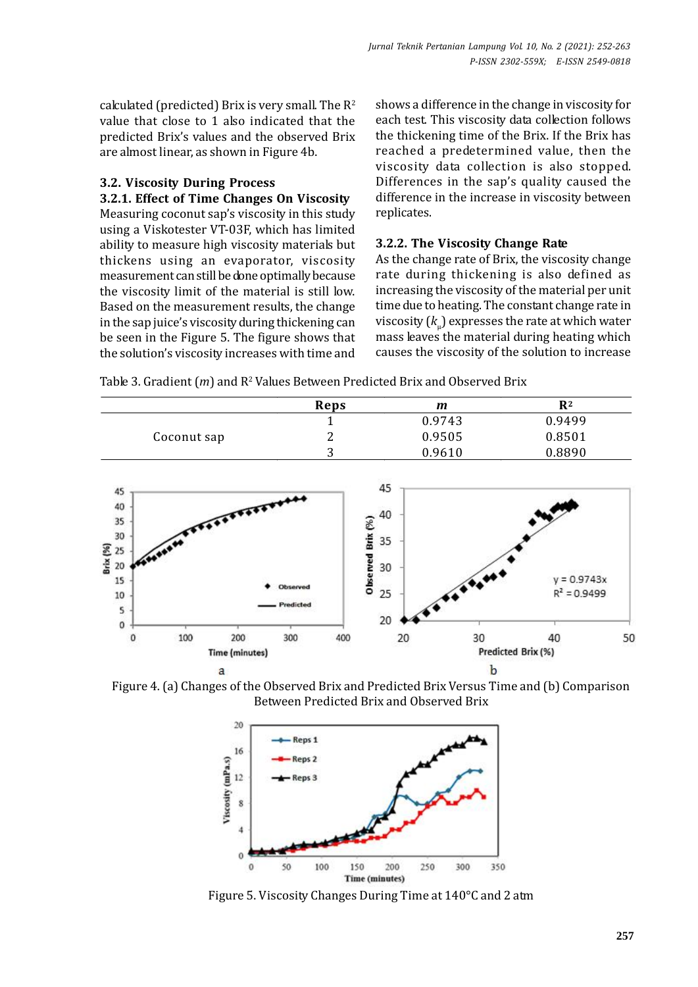calculated (predicted) Brix is very small. The  $R^2$ value that close to 1 also indicated that the predicted Brix's values and the observed Brix are almost linear, as shown in Figure 4b.

### **3.2. Viscosity During Process**

**3.2.1. Effect of Time Changes On Viscosity**

Measuring coconut sap's viscosity in this study using a Viskotester VT-03F, which has limited ability to measure high viscosity materials but thickens using an evaporator, viscosity measurement can still be done optimally because the viscosity limit of the material is still low. Based on the measurement results, the change in the sap juice's viscosity during thickening can be seen in the Figure 5. The figure shows that the solution's viscosity increases with time and shows a difference in the change in viscosity for each test. This viscosity data collection follows the thickening time of the Brix. If the Brix has reached a predetermined value, then the viscosity data collection is also stopped. Differences in the sap's quality caused the difference in the increase in viscosity between replicates.

### **3.2.2. The Viscosity Change Rate**

As the change rate of Brix, the viscosity change rate during thickening is also defined as increasing the viscosity of the material per unit time due to heating. The constant change rate in viscosity  $(k_{\shortparallel})$  expresses the rate at which water mass leaves the material during heating which causes the viscosity of the solution to increase

Table 3. Gradient (*m*) and R<sup>2</sup> Values Between Predicted Brix and Observed Brix

|             | Reps   | m      | R <sup>2</sup> |
|-------------|--------|--------|----------------|
|             |        | 0.9743 | 0.9499         |
| Coconut sap | ∸      | 0.9505 | 0.8501         |
|             | ◠<br>ັ | 0.9610 | 0.8890         |



Figure 4. (a) Changes of the Observed Brix and Predicted Brix Versus Time and (b) Comparison Between Predicted Brix and Observed Brix



Figure 5. Viscosity Changes During Time at 140°C and 2 atm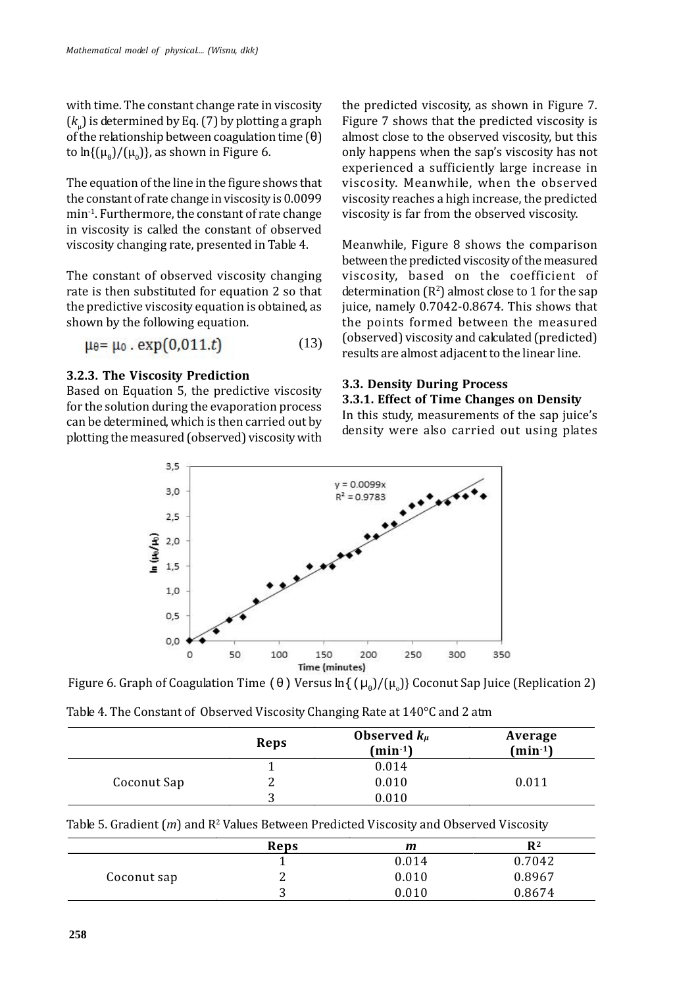with time. The constant change rate in viscosity  $(k_{\perp})$  is determined by Eq. (7) by plotting a graph of the relationship between coagulation time  $( )$ to  $\ln\{(\mu)/(\mu_0)\}\$ , as shown in Figure 6.

The equation of the line in the figure shows that the constant of rate change in viscosity is 0.0099 min-1. Furthermore, the constant of rate change in viscosity is called the constant of observed viscosity changing rate, presented in Table 4.

The constant of observed viscosity changing rate is then substituted for equation 2 so that the predictive viscosity equation is obtained, as shown by the following equation.

$$
\mu_{\theta} = \mu_0 \cdot \exp(0.011.t)
$$
 (13)

### **3.2.3. The Viscosity Prediction**

Based on Equation 5, the predictive viscosity for the solution during the evaporation process can be determined, which is then carried out by plotting the measured (observed) viscosity with the predicted viscosity, as shown in Figure 7. Figure 7 shows that the predicted viscosity is almost close to the observed viscosity, but this only happens when the sap's viscosity has not experienced a sufficiently large increase in viscosity. Meanwhile, when the observed viscosity reaches a high increase, the predicted viscosity is far from the observed viscosity.

Meanwhile, Figure 8 shows the comparison between the predicted viscosity of the measured viscosity, based on the coefficient of determination  $(R^2)$  almost close to 1 for the sap juice, namely 0.7042-0.8674. This shows that the points formed between the measured (observed) viscosity and calculated (predicted) results are almost adjacent to the linear line.

### **3.3. Density During Process**

### **3.3.1. Effect of Time Changes on Density**

In this study, measurements of the sap juice's density were also carried out using plates



Figure 6. Graph of Coagulation Time () Versus ln { ( $\mu$ ) /( $\mu$ )} Coconut Sap Juice (Replication 2)

| Table 4. The Constant of Observed Viscosity Changing Rate at 140°C and 2 atm |  |
|------------------------------------------------------------------------------|--|
|------------------------------------------------------------------------------|--|

|             | Reps | Observed $k_{\mu}$<br>$(min-1)$ | Average<br>$(min^{-1})$ |
|-------------|------|---------------------------------|-------------------------|
|             |      | 0.014                           |                         |
| Coconut Sap | ▵    | 0.010                           | 0.011                   |
|             |      | 0.010                           |                         |

| Table 5. Gradient $(m)$ and $\mathbb{R}^2$ Values Between Predicted Viscosity and Observed Viscosity |
|------------------------------------------------------------------------------------------------------|
|------------------------------------------------------------------------------------------------------|

|             | Reps | m     | $R^2$  |
|-------------|------|-------|--------|
|             |      | 0.014 | 0.7042 |
| Coconut sap | ⊷    | 0.010 | 0.8967 |
|             |      | 0.010 | 0.8674 |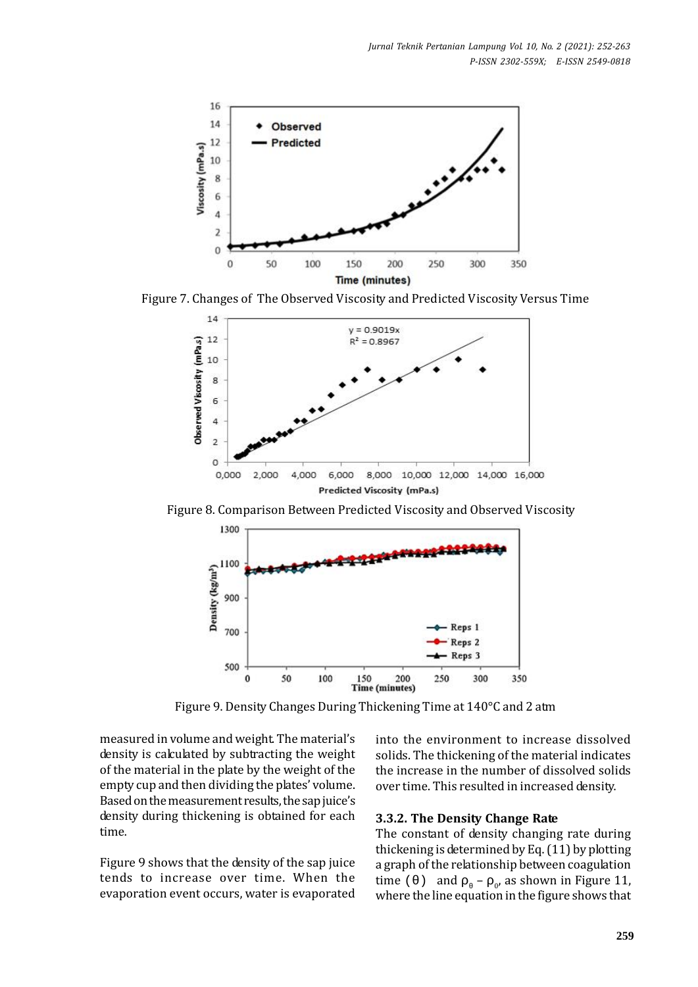

Figure 7. Changes of The Observed Viscosity and Predicted Viscosity Versus Time



Figure 8. Comparison Between Predicted Viscosity and Observed Viscosity



Figure 9. Density Changes During Thickening Time at 140°C and 2 atm

measured in volume and weight. The material's density is calculated by subtracting the weight of the material in the plate by the weight of the empty cup and then dividing the plates' volume. Based on the measurement results, the sap juice's density during thickening is obtained for each time.

Figure 9 shows that the density of the sap juice tends to increase over time. When the evaporation event occurs, water is evaporated into the environment to increase dissolved solids. The thickening of the material indicates the increase in the number of dissolved solids over time. This resulted in increased density.

#### **3.3.2. The Density Change Rate**

The constant of density changing rate during thickening is determined by Eq. (11) by plotting a graph of the relationship between coagulation time  $($  ) and  $\sim$   $\omega$  as shown in Figure 11, where the line equation in the figure shows that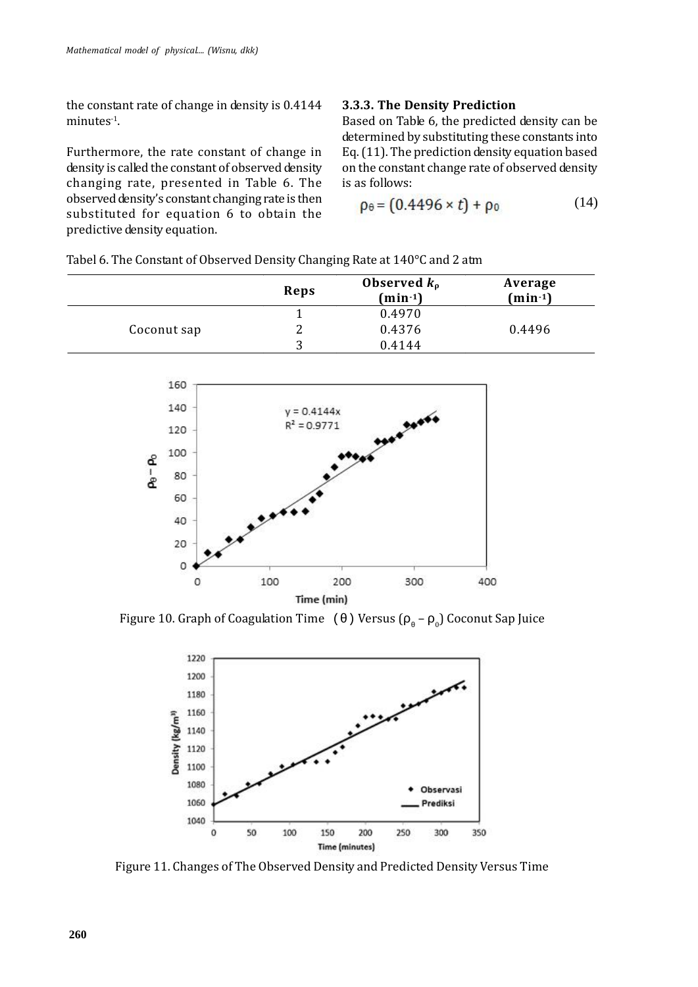the constant rate of change in density is 0.4144 minutes<sup>-1</sup>.

Furthermore, the rate constant of change in density is called the constant of observed density changing rate, presented in Table 6. The observed density's constant changing rate is then substituted for equation 6 to obtain the predictive density equation.

#### **3.3.3. The Density Prediction**

Based on Table 6, the predicted density can be determined by substituting these constants into Eq. (11). The prediction density equation based on the constant change rate of observed density is as follows:

$$
\rho_{\theta} = (0.4496 \times t) + \rho_0 \tag{14}
$$

Tabel 6. The Constant of Observed Density Changing Rate at 140°C and 2 atm

|             | Reps | Observed $k_0$<br>$(min^{-1})$ | Average<br>$(min^{-1})$ |
|-------------|------|--------------------------------|-------------------------|
|             |      | 0.4970                         |                         |
| Coconut sap | ∸    | 0.4376                         | 0.4496                  |
|             | २    | 0.4144                         |                         |



Figure 10. Graph of Coagulation Time () Versus  $(-\alpha)$  Coconut Sap Juice



Figure 11. Changes of The Observed Density and Predicted Density Versus Time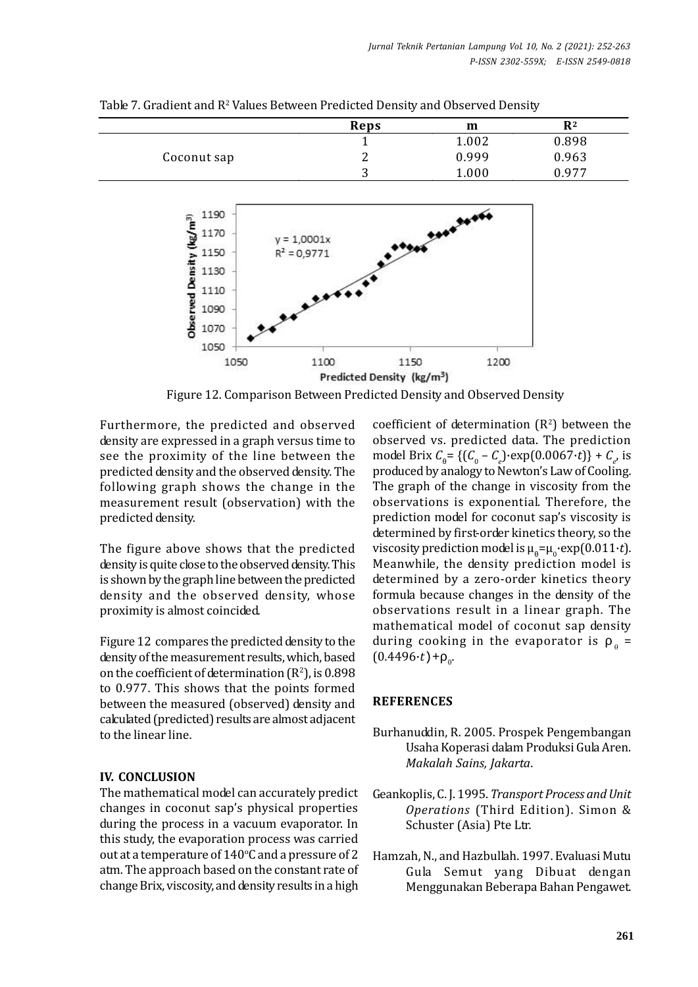|             | Reps    | m     | R <sup>2</sup> |
|-------------|---------|-------|----------------|
|             |         | 1.002 | 0.898          |
| Coconut sap |         | 0.999 | 0.963          |
|             | r<br>л. | 1.000 | 977            |

Table 7. Gradient and R<sup>2</sup> Values Between Predicted Density and Observed Density



Figure 12. Comparison Between Predicted Density and Observed Density

Furthermore, the predicted and observed density are expressed in a graph versus time to see the proximity of the line between the predicted density and the observed density. The following graph shows the change in the measurement result (observation) with the predicted density.

The figure above shows that the predicted density is quite close to the observed density. This is shown by the graph line between the predicted density and the observed density, whose proximity is almost coincided.

Figure 12 compares the predicted density to the density of the measurement results, which, based on the coefficient of determination  $(R^2)$ , is 0.898 to 0.977. This shows that the points formed between the measured (observed) density and calculated (predicted) results are almost adjacent to the linear line.

# **IV. CONCLUSION**

The mathematical model can accurately predict changes in coconut sap's physical properties during the process in a vacuum evaporator. In this study, the evaporation process was carried out at a temperature of  $140^{\circ}$ C and a pressure of 2 atm. The approach based on the constant rate of change Brix, viscosity, and density results in a high coefficient of determination  $(R^2)$  between the observed vs. predicted data. The prediction model Brix  $C = \{ (C_0 - C_e) \cdot \exp(0.0067 \cdot t) \} + C_e$ , is produced by analogy to Newton's Law of Cooling. The graph of the change in viscosity from the observations is exponential. Therefore, the prediction model for coconut sap's viscosity is determined by first-order kinetics theory, so the viscosity prediction model is  $\mu = \mu_0 \exp(0.011 \cdot t)$ . Meanwhile, the density prediction model is determined by a zero-order kinetics theory formula because changes in the density of the observations result in a linear graph. The mathematical model of coconut sap density during cooking in the evaporator is  $\alpha$  =  $(0.4496 \cdot t) +$ <sub>0</sub>

# **REFERENCES**

- Burhanuddin, R. 2005. Prospek Pengembangan Usaha Koperasi dalam Produksi Gula Aren. *Makalah Sains, Jakarta*.
- Geankoplis, C. J. 1995. *Transport Process and Unit Operations* (Third Edition). Simon & Schuster (Asia) Pte Ltr.
- Hamzah, N., and Hazbullah. 1997. Evaluasi Mutu Gula Semut yang Dibuat dengan Menggunakan Beberapa Bahan Pengawet.